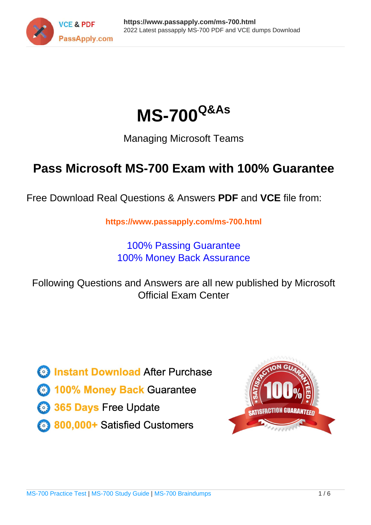



Managing Microsoft Teams

# **Pass Microsoft MS-700 Exam with 100% Guarantee**

Free Download Real Questions & Answers **PDF** and **VCE** file from:

**https://www.passapply.com/ms-700.html**

100% Passing Guarantee 100% Money Back Assurance

Following Questions and Answers are all new published by Microsoft Official Exam Center

**C** Instant Download After Purchase

- **83 100% Money Back Guarantee**
- 365 Days Free Update
- 800,000+ Satisfied Customers

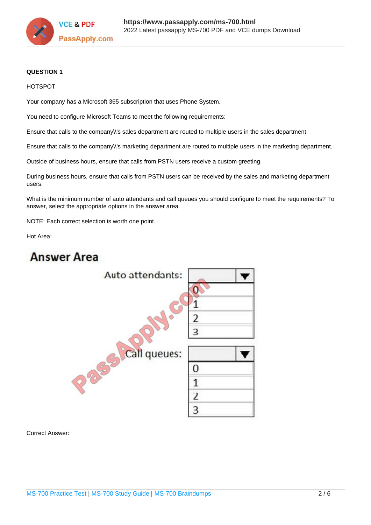

#### **QUESTION 1**

#### HOTSPOT

Your company has a Microsoft 365 subscription that uses Phone System.

You need to configure Microsoft Teams to meet the following requirements:

Ensure that calls to the company\\'s sales department are routed to multiple users in the sales department.

Ensure that calls to the company\\'s marketing department are routed to multiple users in the marketing department.

Outside of business hours, ensure that calls from PSTN users receive a custom greeting.

During business hours, ensure that calls from PSTN users can be received by the sales and marketing department users.

What is the minimum number of auto attendants and call queues you should configure to meet the requirements? To answer, select the appropriate options in the answer area.

NOTE: Each correct selection is worth one point.

Hot Area:

### **Answer Area**



Correct Answer: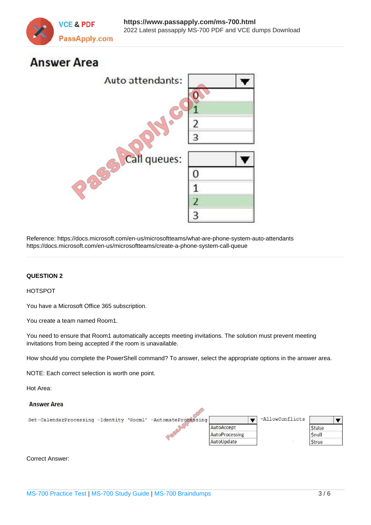

## **Answer Area**



Reference: https://docs.microsoft.com/en-us/microsoftteams/what-are-phone-system-auto-attendants https://docs.microsoft.com/en-us/microsoftteams/create-a-phone-system-call-queue

#### **QUESTION 2**

#### HOTSPOT

You have a Microsoft Office 365 subscription.

You create a team named Room1.

You need to ensure that Room1 automatically accepts meeting invitations. The solution must prevent meeting invitations from being accepted if the room is unavailable.

How should you complete the PowerShell command? To answer, select the appropriate options in the answer area.

NOTE: Each correct selection is worth one point.

Hot Area:



#### Correct Answer: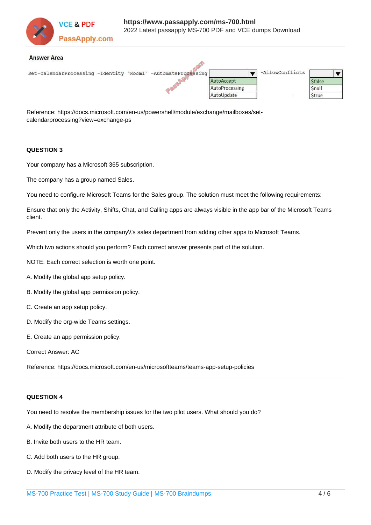

 $\widehat{\mathbb{A}}$ 

#### **Answer Area**

| Set-CalendarProcessing -Identity 'Room1' -AutomateProcessing |  |  |                | -AllowConflicts |               |  |
|--------------------------------------------------------------|--|--|----------------|-----------------|---------------|--|
|                                                              |  |  | AutoAccept     |                 | <b>Sfalse</b> |  |
|                                                              |  |  | AutoProcessing |                 | Snull         |  |
|                                                              |  |  | AutoUpdate     |                 | Strue         |  |
|                                                              |  |  |                |                 |               |  |

Reference: https://docs.microsoft.com/en-us/powershell/module/exchange/mailboxes/setcalendarprocessing?view=exchange-ps

#### **QUESTION 3**

Your company has a Microsoft 365 subscription.

The company has a group named Sales.

You need to configure Microsoft Teams for the Sales group. The solution must meet the following requirements:

Ensure that only the Activity, Shifts, Chat, and Calling apps are always visible in the app bar of the Microsoft Teams client.

Prevent only the users in the company\\'s sales department from adding other apps to Microsoft Teams.

Which two actions should you perform? Each correct answer presents part of the solution.

NOTE: Each correct selection is worth one point.

- A. Modify the global app setup policy.
- B. Modify the global app permission policy.
- C. Create an app setup policy.
- D. Modify the org-wide Teams settings.
- E. Create an app permission policy.

Correct Answer: AC

Reference: https://docs.microsoft.com/en-us/microsoftteams/teams-app-setup-policies

#### **QUESTION 4**

You need to resolve the membership issues for the two pilot users. What should you do?

- A. Modify the department attribute of both users.
- B. Invite both users to the HR team.
- C. Add both users to the HR group.
- D. Modify the privacy level of the HR team.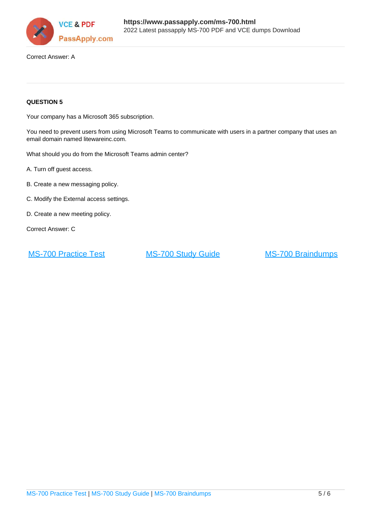

Correct Answer: A

#### **QUESTION 5**

Your company has a Microsoft 365 subscription.

You need to prevent users from using Microsoft Teams to communicate with users in a partner company that uses an email domain named litewareinc.com.

What should you do from the Microsoft Teams admin center?

A. Turn off guest access.

- B. Create a new messaging policy.
- C. Modify the External access settings.
- D. Create a new meeting policy.

Correct Answer: C

[MS-700 Practice Test](https://www.passapply.com/ms-700.html) [MS-700 Study Guide](https://www.passapply.com/ms-700.html) [MS-700 Braindumps](https://www.passapply.com/ms-700.html)